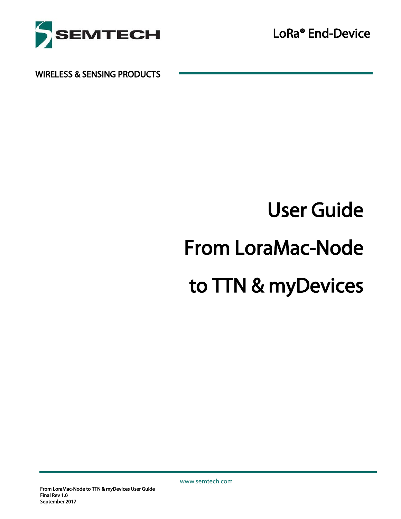

WIRELESS & SENSING PRODUCTS

# User Guide From LoraMac-Node to TTN & myDevices

From LoraMac-Node to TTN & myDevices User Guide Final Rev 1.0 September 2017

www.semtech.com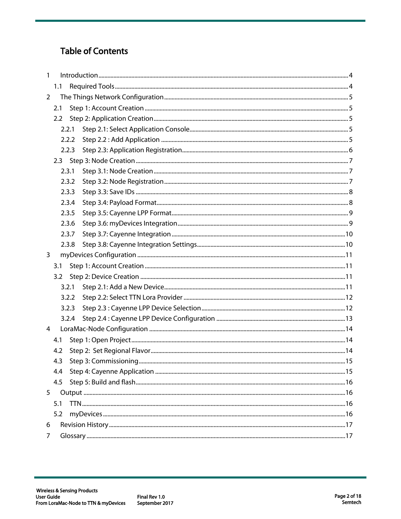#### **Table of Contents**

| 1              |               |       |  |
|----------------|---------------|-------|--|
|                | 1.1           |       |  |
| $\overline{2}$ |               |       |  |
|                | 2.1           |       |  |
|                | $2.2^{\circ}$ |       |  |
|                |               | 2.2.1 |  |
|                |               | 2.2.2 |  |
|                |               | 2.2.3 |  |
|                |               |       |  |
|                |               | 2.3.1 |  |
|                |               | 2.3.2 |  |
|                |               | 2.3.3 |  |
|                |               | 2.3.4 |  |
|                |               | 2.3.5 |  |
|                |               | 2.3.6 |  |
|                |               | 2.3.7 |  |
|                |               | 2.3.8 |  |
| 3              |               |       |  |
|                | 3.1           |       |  |
|                | 3.2           |       |  |
|                |               | 3.2.1 |  |
|                |               | 3.2.2 |  |
|                |               | 3.2.3 |  |
|                |               | 3.2.4 |  |
| 4              |               |       |  |
|                | 4.1           |       |  |
|                | 4.2           |       |  |
|                |               |       |  |
|                | 4.4           |       |  |
|                | 4.5           |       |  |
| 5              |               |       |  |
|                | 5.1           |       |  |
|                | 5.2           |       |  |
| 6              |               |       |  |
| 7              |               |       |  |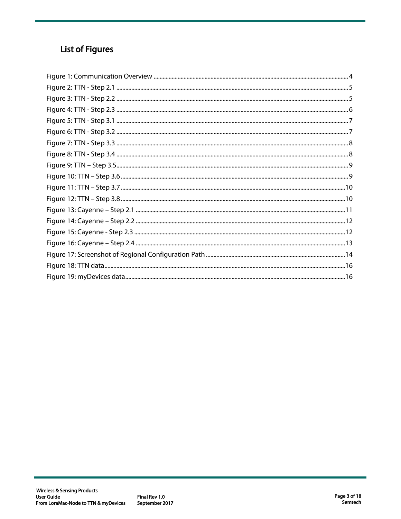#### **List of Figures**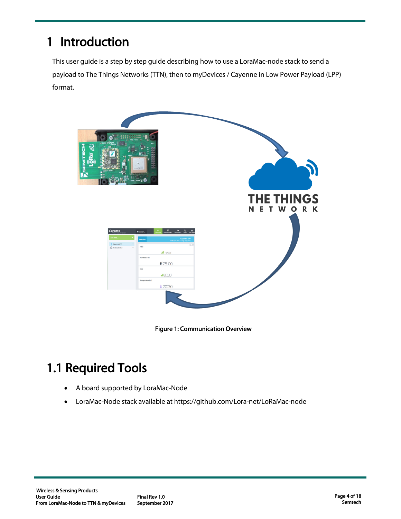#### <span id="page-3-0"></span>1 Introduction

This user guide is a step by step guide describing how to use a LoraMac-node stack to send a payload to The Things Networks (TTN), then to myDevices / Cayenne in Low Power Payload (LPP) format.



Figure 1: Communication Overview

### <span id="page-3-2"></span><span id="page-3-1"></span>1.1 Required Tools

- A board supported by LoraMac-Node
- LoraMac-Node stack available at<https://github.com/Lora-net/LoRaMac-node>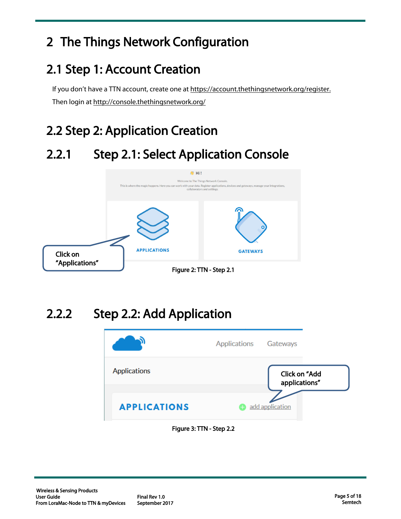### <span id="page-4-0"></span>2 The Things Network Configuration

#### <span id="page-4-1"></span>2.1 Step 1: Account Creation

If you don't have a TTN account, create one a[t https://account.thethingsnetwork.org/register.](https://account.thethingsnetwork.org/register) Then login a[t http://console.thethingsnetwork.org/](http://console.thethingsnetwork.org/)

### <span id="page-4-2"></span>2.2 Step 2: Application Creation

#### <span id="page-4-3"></span>2.2.1 Step 2.1: Select Application Console



### <span id="page-4-5"></span><span id="page-4-4"></span>2.2.2 Step 2.2: Add Application

<span id="page-4-6"></span>

#### Figure 3: TTN - Step 2.2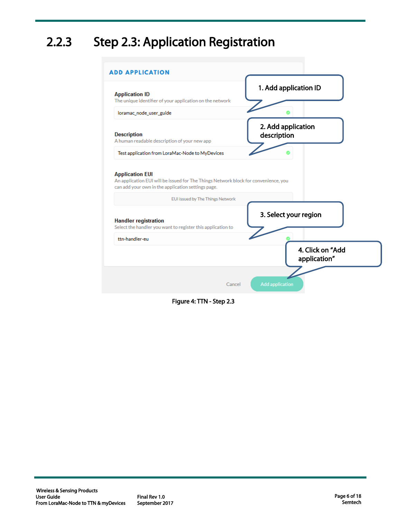### <span id="page-5-0"></span>2.2.3 Step 2.3: Application Registration

| <b>Application ID</b><br>The unique identifier of your application on the network          | 1. Add application ID                                     |
|--------------------------------------------------------------------------------------------|-----------------------------------------------------------|
| loramac_node_user_guide                                                                    |                                                           |
| <b>Description</b><br>A human readable description of your new app                         | 2. Add application<br>description                         |
| Test application from LoraMac-Node to MyDevices                                            |                                                           |
|                                                                                            | EUI issued by The Things Network<br>3. Select your region |
| <b>Handler registration</b><br>Select the handler you want to register this application to |                                                           |
| ttn-handler-eu                                                                             | 4. Click on "Add                                          |

<span id="page-5-1"></span>Figure 4: TTN - Step 2.3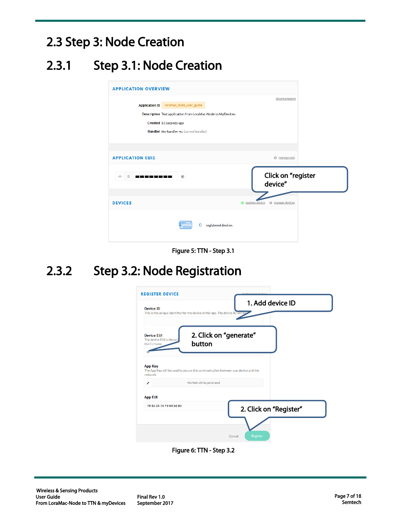#### <span id="page-6-0"></span>2.3 Step 3: Node Creation

#### <span id="page-6-1"></span>2.3.1 Step 3.1: Node Creation

| <b>APPLICATION OVERVIEW</b> |                                                             |                                            |  |
|-----------------------------|-------------------------------------------------------------|--------------------------------------------|--|
|                             |                                                             | documentation                              |  |
|                             |                                                             |                                            |  |
|                             | Description Test application from LoraMac-Node to MyDevices |                                            |  |
|                             | Created 52 seconds ago                                      |                                            |  |
|                             | Handler ttn-handler-eu (current handler)                    |                                            |  |
|                             |                                                             |                                            |  |
|                             |                                                             |                                            |  |
| <b>APPLICATION EUIS</b>     |                                                             | <b><math>\Phi</math></b> manage euis       |  |
|                             |                                                             |                                            |  |
| $\leftrightarrow$<br>圡      | 圁                                                           | Click on "register<br>device"              |  |
| <b>DEVICES</b>              |                                                             | <b>₺</b> manage devices<br>register device |  |

Figure 5: TTN - Step 3.1

#### <span id="page-6-3"></span><span id="page-6-2"></span>2.3.2 Step 3.2: Node Registration

| <b>REGISTER DEVICE</b>                                                                                                                        | hulkimport dovice         |                        |
|-----------------------------------------------------------------------------------------------------------------------------------------------|---------------------------|------------------------|
| Device ID<br>This is the unique identifier for the device in this app. The device ID will be                                                  |                           | 1. Add device ID       |
| <b>Device FUI</b><br>The device EUI is the uni<br>button<br>the EUI later.                                                                    | 2. Click on "generate"    |                        |
| <b>App Key</b><br>The App Key will be used to secure the communication between you device and the<br>network.<br>this field will be generated |                           |                        |
| <b>App EUI</b>                                                                                                                                |                           |                        |
| 70 B3 D5 7E F0 00 60 B5                                                                                                                       |                           | 2. Click on "Register" |
|                                                                                                                                               | <b>Register</b><br>Cancel |                        |

<span id="page-6-4"></span>Figure 6: TTN - Step 3.2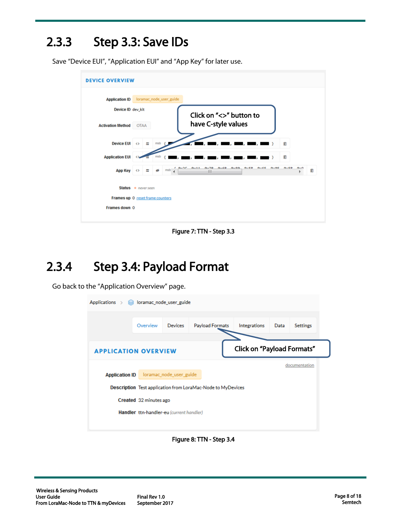#### <span id="page-7-0"></span>2.3.3 Step 3.3: Save IDs

Save "Device EUI", "Application EUI" and "App Key" for later use.

| <b>Application ID</b>    |                        | loramac_node_user_guide |                              |                                   |                             |       |            |
|--------------------------|------------------------|-------------------------|------------------------------|-----------------------------------|-----------------------------|-------|------------|
| Device ID dev_kit        |                        |                         |                              | Click on "<>" button to           |                             |       |            |
| <b>Activation Method</b> | <b>OTAA</b>            |                         |                              | have C-style values               |                             |       |            |
| <b>Device EUI</b>        | Ξ<br>$\leftrightarrow$ | msb                     |                              |                                   |                             | 曺     |            |
| <b>Application EUI</b>   |                        | msb                     |                              |                                   |                             | 崮     |            |
| App Key                  | Ξ<br>∢≽                | 0.002<br>msb            | <b>Que A.A.</b><br>0.70<br>m | $0 \leq C$<br>0.000<br>$Q \cup E$ | $A \cup C C$<br><b>QUAE</b> | 0.000 | <b>Quố</b> |
|                          | Status · never seen    |                         |                              |                                   |                             |       |            |

Figure 7: TTN - Step 3.3

#### <span id="page-7-2"></span><span id="page-7-1"></span>2.3.4 Step 3.4: Payload Format

Go back to the "Application Overview" page.

| $\Delta$ pplications $>$<br>loramac node user guide                                      |                                                  |  |                                                             |  |  |               |  |
|------------------------------------------------------------------------------------------|--------------------------------------------------|--|-------------------------------------------------------------|--|--|---------------|--|
| Overview<br><b>Devices</b><br>Integrations<br>Payload Formats<br><b>Settings</b><br>Data |                                                  |  |                                                             |  |  |               |  |
| Click on "Payload Formats"<br><b>APPLICATION OVERVIEW</b>                                |                                                  |  |                                                             |  |  |               |  |
|                                                                                          |                                                  |  |                                                             |  |  | documentation |  |
|                                                                                          | loramac_node_user_guide<br><b>Application ID</b> |  |                                                             |  |  |               |  |
|                                                                                          |                                                  |  | Description Test application from LoraMac-Node to MyDevices |  |  |               |  |
| Created 32 minutes ago                                                                   |                                                  |  |                                                             |  |  |               |  |
|                                                                                          | Handler ttn-handler-eu (current handler)         |  |                                                             |  |  |               |  |
|                                                                                          |                                                  |  |                                                             |  |  |               |  |

<span id="page-7-3"></span>Figure 8: TTN - Step 3.4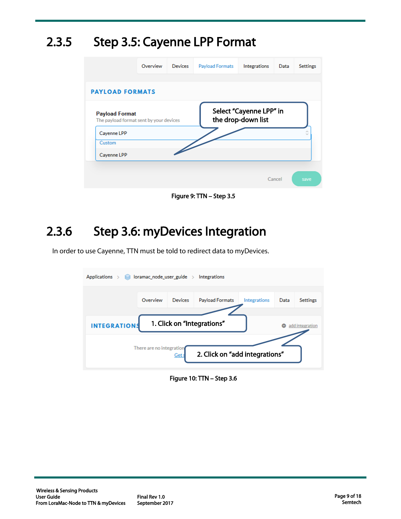#### <span id="page-8-0"></span>2.3.5 Step 3.5: Cayenne LPP Format



Figure 9: TTN – Step 3.5

#### <span id="page-8-2"></span><span id="page-8-1"></span>2.3.6 Step 3.6: myDevices Integration

In order to use Cayenne, TTN must be told to redirect data to myDevices.

<span id="page-8-3"></span>

Figure 10: TTN – Step 3.6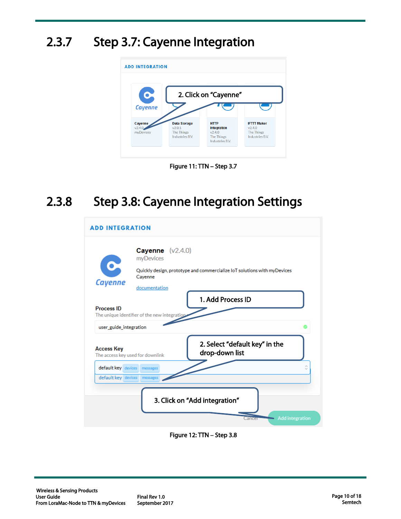### <span id="page-9-0"></span>2.3.7 Step 3.7: Cayenne Integration



Figure 11: TTN – Step 3.7

#### <span id="page-9-2"></span><span id="page-9-1"></span>2.3.8 Step 3.8: Cayenne Integration Settings

| <b>ADD INTEGRATION</b>                     |                                                                                                             |  |  |  |  |  |
|--------------------------------------------|-------------------------------------------------------------------------------------------------------------|--|--|--|--|--|
|                                            | Cayenne $(v2.4.0)$<br>myDevices<br>Quickly design, prototype and commercialize IoT solutions with myDevices |  |  |  |  |  |
| <b>Cayenne</b>                             | Cayenne<br>documentation                                                                                    |  |  |  |  |  |
| <b>Process ID</b>                          | 1. Add Process ID<br>The unique identifier of the new integration                                           |  |  |  |  |  |
| user_guide_integration                     |                                                                                                             |  |  |  |  |  |
| <b>Access Key</b>                          | 2. Select "default key" in the<br>drop-down list<br>The access key used for downlink                        |  |  |  |  |  |
| default key devices<br>default key devices | messages<br>messages                                                                                        |  |  |  |  |  |
|                                            | 3. Click on "Add integration"<br>Add integration                                                            |  |  |  |  |  |

<span id="page-9-3"></span>Figure 12: TTN – Step 3.8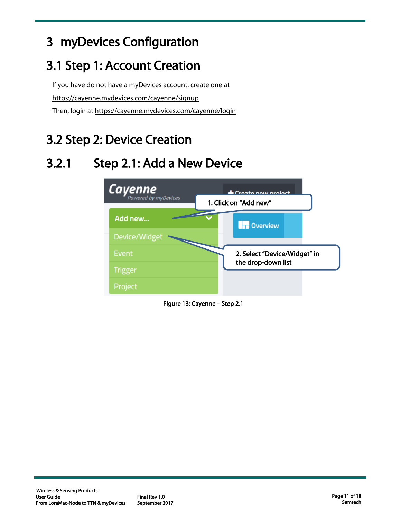### <span id="page-10-0"></span>3 myDevices Configuration

### <span id="page-10-1"></span>3.1 Step 1: Account Creation

If you have do not have a myDevices account, create one at <https://cayenne.mydevices.com/cayenne/signup> Then, login at<https://cayenne.mydevices.com/cayenne/login>

### <span id="page-10-2"></span>3.2 Step 2: Device Creation

### <span id="page-10-3"></span>3.2.1 Step 2.1: Add a New Device



<span id="page-10-4"></span>Figure 13: Cayenne – Step 2.1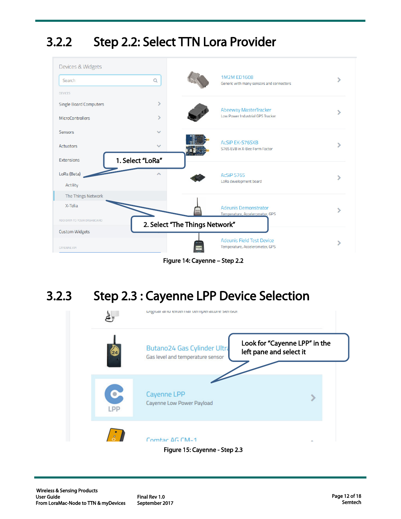#### <span id="page-11-0"></span>3.2.2 Step 2.2: Select TTN Lora Provider



Figure 14: Cayenne – Step 2.2

#### <span id="page-11-2"></span><span id="page-11-1"></span>3.2.3 Step 2.3 : Cayenne LPP Device Selection



<span id="page-11-3"></span>Final Rev 1.0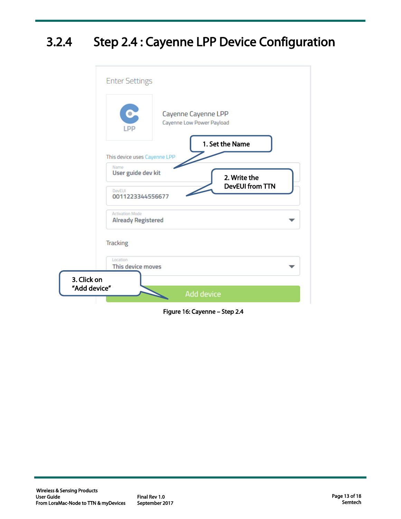#### <span id="page-12-0"></span>3.2.4 Step 2.4 : Cayenne LPP Device Configuration



<span id="page-12-1"></span>Figure 16: Cayenne – Step 2.4

Final Rev 1.0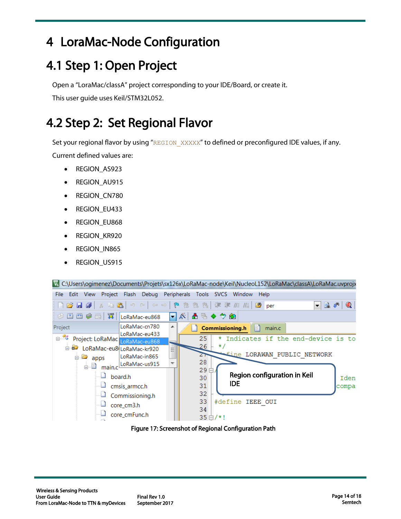#### <span id="page-13-0"></span>4 LoraMac-Node Configuration

#### <span id="page-13-1"></span>4.1 Step 1: Open Project

Open a "LoraMac/classA" project corresponding to your IDE/Board, or create it. This user guide uses Keil/STM32L052.

#### <span id="page-13-2"></span>4.2 Step 2: Set Regional Flavor

Set your regional flavor by using "REGION XXXXX" to defined or preconfigured IDE values, if any.

Current defined values are:

- REGION\_AS923
- REGION AU915
- REGION CN780
- REGION\_EU433
- REGION\_EU868
- REGION\_KR920
- REGION\_IN865
- REGION US915

<span id="page-13-3"></span>

Figure 17: Screenshot of Regional Configuration Path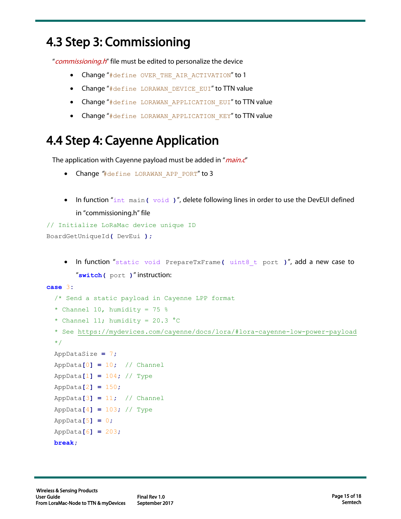#### <span id="page-14-0"></span>4.3 Step 3: Commissioning

" commissioning.h" file must be edited to personalize the device

- Change "#define OVER THE AIR ACTIVATION" to 1
- Change "#define LORAWAN DEVICE EUI" to TTN value
- Change "#define LORAWAN APPLICATION EUI" to TTN value
- Change "#define LORAWAN APPLICATION KEY" to TTN value

#### <span id="page-14-1"></span>4.4 Step 4: Cayenne Application

The application with Cayenne payload must be added in "main.c"

- Change "#define LORAWAN APP PORT" to 3
- In function "int main**(** void **)**", delete following lines in order to use the DevEUI defined in "commissioning.h" file

```
// Initialize LoRaMac device unique ID
BoardGetUniqueId( DevEui );
```
• In function "static void PrepareTxFrame**(** uint8\_t port **)**", add a new case to "**switch(** port **)**" instruction:

```
case 3:
   /* Send a static payload in Cayenne LPP format
  * Channel 10, humidity = 75 %
  * Channel 11; humidity = 20.3 \text{ °C} * See https://mydevices.com/cayenne/docs/lora/#lora-cayenne-low-power-payload
   */
  AppDataSize = 7;
 AppData[0] = 10; // Channel
  AppData[1] = 104; // Type
  AppData[2] = 150;
 AppData[3] = 11; // Channel
  AppData[4] = 103; // Type
  AppData[5] = 0;
  AppData[6] = 203;
  break;
```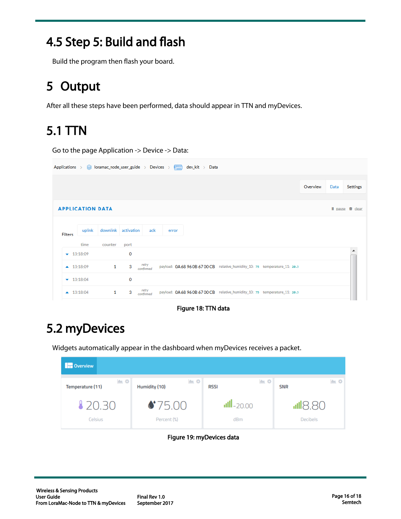#### <span id="page-15-0"></span>4.5 Step 5: Build and flash

Build the program then flash your board.

#### <span id="page-15-1"></span>5 Output

After all these steps have been performed, data should appear in TTN and myDevices.

# <span id="page-15-2"></span>5.1 TTN

Go to the page Application -> Device -> Data:

| Applications > $\otimes$ loramac_node_user_guide > Devices > $\otimes$<br>$dev_k$ it > Data |        |              |             |                    |       |  |                                                                             |          |      |                              |
|---------------------------------------------------------------------------------------------|--------|--------------|-------------|--------------------|-------|--|-----------------------------------------------------------------------------|----------|------|------------------------------|
|                                                                                             |        |              |             |                    |       |  |                                                                             | Overview | Data | <b>Settings</b>              |
| <b>APPLICATION DATA</b>                                                                     |        |              |             |                    |       |  |                                                                             |          |      | Il pause <sup>tr</sup> clear |
| <b>Filters</b>                                                                              | uplink | downlink     | activation  | ack                | error |  |                                                                             |          |      |                              |
| $-13:18:09$                                                                                 | time   | counter      | port<br>0   |                    |       |  |                                                                             |          |      |                              |
| $\blacktriangle$ 13:18:09                                                                   |        | $\mathbf{1}$ | 3           | retry<br>confirmed |       |  | payload: 0A 68 96 0B 67 00 CB relative_humidity_10: 75 temperature_11: 20.3 |          |      |                              |
| $-13:18:04$                                                                                 |        |              | $\mathbf 0$ |                    |       |  |                                                                             |          |      |                              |
| $\blacktriangle$ 13:18:04                                                                   |        | $\mathbf{1}$ | 3           | retry<br>confirmed |       |  | payload: 0A 68 96 0B 67 00 CB relative_humidity_10: 75 temperature_11: 20.3 |          |      |                              |

Figure 18: TTN data

### <span id="page-15-4"></span><span id="page-15-3"></span>5.2 myDevices

Widgets automatically appear in the dashboard when myDevices receives a packet.

<span id="page-15-5"></span>

| <b>THE Overview</b>                      |                                 |                                     |                    |
|------------------------------------------|---------------------------------|-------------------------------------|--------------------|
| $\triangle$ $\Omega$<br>Temperature (11) | $\mathbf{M}$ O<br>Humidity (10) | $\triangle$ $\Omega$<br><b>RSSI</b> | ALC:<br><b>SNR</b> |
| 120.30                                   | $\bullet$ 75.00                 | $III - 20.00$                       | <b>NR SIIII.</b>   |
| <b>Celsius</b>                           | Percent (%)                     | dBm                                 | <b>Decibels</b>    |

Figure 19: myDevices data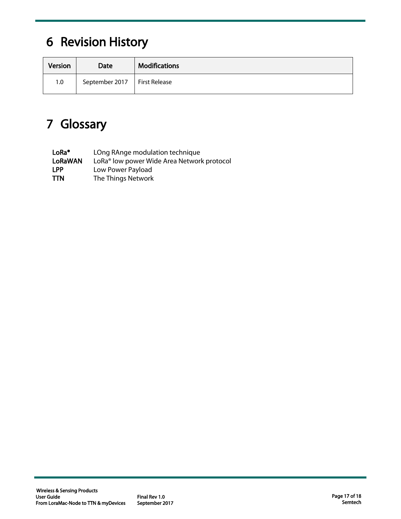# <span id="page-16-0"></span>6 Revision History

| Version | Date                           | <b>Modifications</b> |
|---------|--------------------------------|----------------------|
| 1.0     | September 2017   First Release |                      |

# <span id="page-16-1"></span>7 Glossary

| LoRa®          | LOng RAnge modulation technique                        |
|----------------|--------------------------------------------------------|
| <b>LoRaWAN</b> | LoRa <sup>®</sup> low power Wide Area Network protocol |
| I PP           | Low Power Payload                                      |
| <b>TTN</b>     | The Things Network                                     |